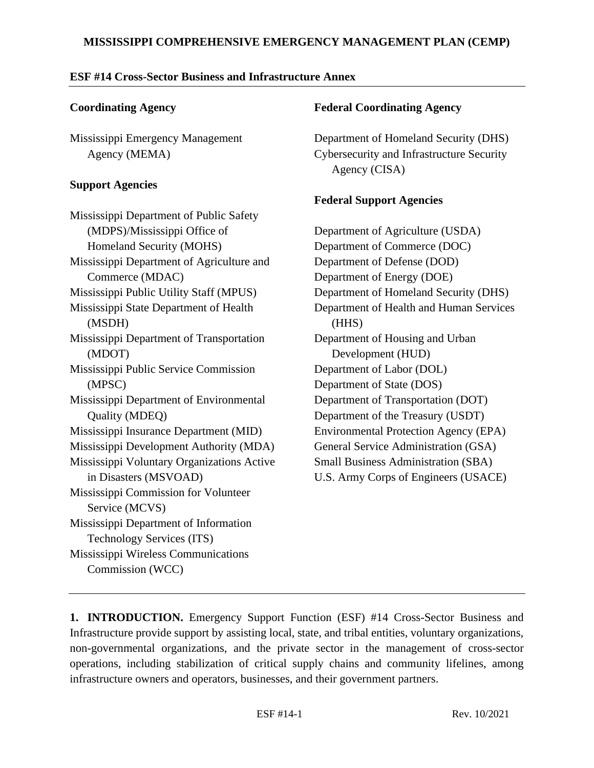#### **MISSISSIPPI COMPREHENSIVE EMERGENCY MANAGEMENT PLAN (CEMP)**

#### **ESF #14 Cross-Sector Business and Infrastructure Annex**

#### **Coordinating Agency**

Mississippi Emergency Management Agency (MEMA)

#### **Support Agencies**

Mississippi Department of Public Safety (MDPS)/Mississippi Office of Homeland Security (MOHS) Mississippi Department of Agriculture and Commerce (MDAC) Mississippi Public Utility Staff (MPUS) Mississippi State Department of Health (MSDH) Mississippi Department of Transportation (MDOT) Mississippi Public Service Commission (MPSC) Mississippi Department of Environmental Quality (MDEQ) Mississippi Insurance Department (MID) Mississippi Development Authority (MDA) Mississippi Voluntary Organizations Active in Disasters (MSVOAD) Mississippi Commission for Volunteer Service (MCVS) Mississippi Department of Information Technology Services (ITS) Mississippi Wireless Communications Commission (WCC)

#### **Federal Coordinating Agency**

Department of Homeland Security (DHS) Cybersecurity and Infrastructure Security Agency (CISA)

# **Federal Support Agencies**

Department of Agriculture (USDA) Department of Commerce (DOC) Department of Defense (DOD) Department of Energy (DOE) Department of Homeland Security (DHS) Department of Health and Human Services (HHS) Department of Housing and Urban Development (HUD) Department of Labor (DOL) Department of State (DOS) Department of Transportation (DOT) Department of the Treasury (USDT) Environmental Protection Agency (EPA) General Service Administration (GSA) Small Business Administration (SBA) U.S. Army Corps of Engineers (USACE)

**1. INTRODUCTION.** Emergency Support Function (ESF) #14 Cross-Sector Business and Infrastructure provide support by assisting local, state, and tribal entities, voluntary organizations, non-governmental organizations, and the private sector in the management of cross-sector operations, including stabilization of critical supply chains and community lifelines, among infrastructure owners and operators, businesses, and their government partners.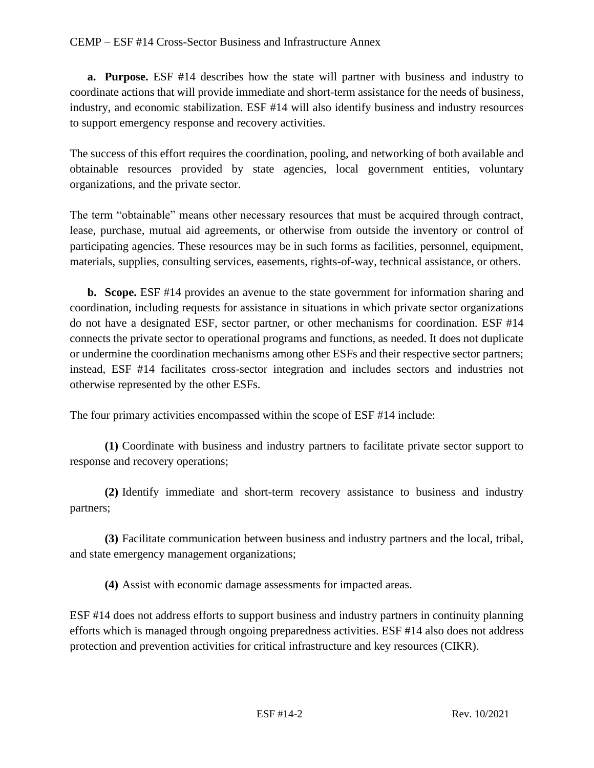**a. Purpose.** ESF #14 describes how the state will partner with business and industry to coordinate actions that will provide immediate and short-term assistance for the needs of business, industry, and economic stabilization. ESF #14 will also identify business and industry resources to support emergency response and recovery activities.

The success of this effort requires the coordination, pooling, and networking of both available and obtainable resources provided by state agencies, local government entities, voluntary organizations, and the private sector.

The term "obtainable" means other necessary resources that must be acquired through contract, lease, purchase, mutual aid agreements, or otherwise from outside the inventory or control of participating agencies. These resources may be in such forms as facilities, personnel, equipment, materials, supplies, consulting services, easements, rights-of-way, technical assistance, or others.

**b. Scope.** ESF #14 provides an avenue to the state government for information sharing and coordination, including requests for assistance in situations in which private sector organizations do not have a designated ESF, sector partner, or other mechanisms for coordination. ESF #14 connects the private sector to operational programs and functions, as needed. It does not duplicate or undermine the coordination mechanisms among other ESFs and their respective sector partners; instead, ESF #14 facilitates cross-sector integration and includes sectors and industries not otherwise represented by the other ESFs.

The four primary activities encompassed within the scope of ESF #14 include:

**(1)** Coordinate with business and industry partners to facilitate private sector support to response and recovery operations;

**(2)** Identify immediate and short-term recovery assistance to business and industry partners;

**(3)** Facilitate communication between business and industry partners and the local, tribal, and state emergency management organizations;

**(4)** Assist with economic damage assessments for impacted areas.

ESF #14 does not address efforts to support business and industry partners in continuity planning efforts which is managed through ongoing preparedness activities. ESF #14 also does not address protection and prevention activities for critical infrastructure and key resources (CIKR).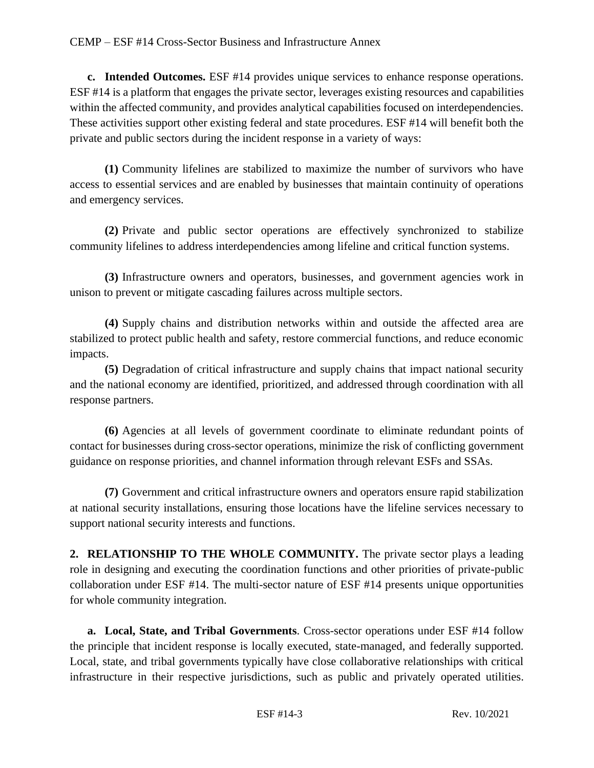**c. Intended Outcomes.** ESF #14 provides unique services to enhance response operations. ESF #14 is a platform that engages the private sector, leverages existing resources and capabilities within the affected community, and provides analytical capabilities focused on interdependencies. These activities support other existing federal and state procedures. ESF #14 will benefit both the private and public sectors during the incident response in a variety of ways:

**(1)** Community lifelines are stabilized to maximize the number of survivors who have access to essential services and are enabled by businesses that maintain continuity of operations and emergency services.

**(2)** Private and public sector operations are effectively synchronized to stabilize community lifelines to address interdependencies among lifeline and critical function systems.

**(3)** Infrastructure owners and operators, businesses, and government agencies work in unison to prevent or mitigate cascading failures across multiple sectors.

**(4)** Supply chains and distribution networks within and outside the affected area are stabilized to protect public health and safety, restore commercial functions, and reduce economic impacts.

**(5)** Degradation of critical infrastructure and supply chains that impact national security and the national economy are identified, prioritized, and addressed through coordination with all response partners.

**(6)** Agencies at all levels of government coordinate to eliminate redundant points of contact for businesses during cross-sector operations, minimize the risk of conflicting government guidance on response priorities, and channel information through relevant ESFs and SSAs.

**(7)** Government and critical infrastructure owners and operators ensure rapid stabilization at national security installations, ensuring those locations have the lifeline services necessary to support national security interests and functions.

**2. RELATIONSHIP TO THE WHOLE COMMUNITY.** The private sector plays a leading role in designing and executing the coordination functions and other priorities of private-public collaboration under ESF #14. The multi-sector nature of ESF #14 presents unique opportunities for whole community integration.

**a. Local, State, and Tribal Governments**. Cross-sector operations under ESF #14 follow the principle that incident response is locally executed, state-managed, and federally supported. Local, state, and tribal governments typically have close collaborative relationships with critical infrastructure in their respective jurisdictions, such as public and privately operated utilities.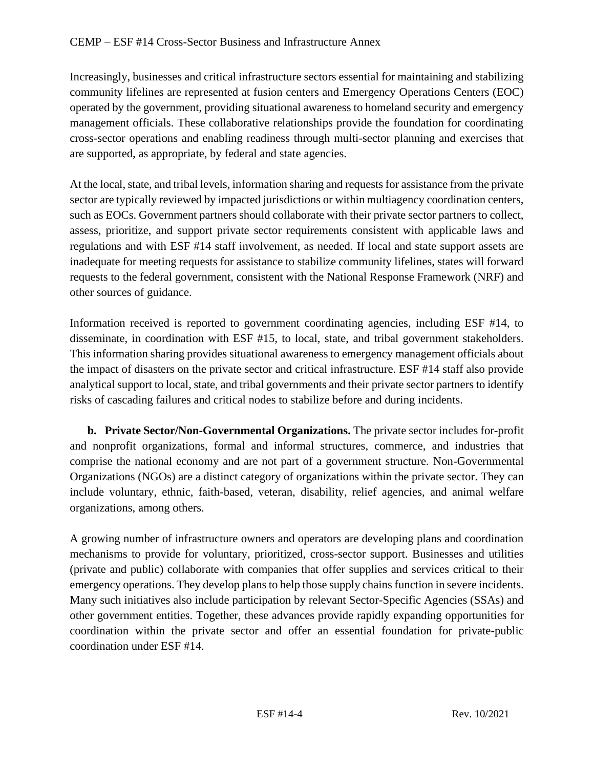Increasingly, businesses and critical infrastructure sectors essential for maintaining and stabilizing community lifelines are represented at fusion centers and Emergency Operations Centers (EOC) operated by the government, providing situational awareness to homeland security and emergency management officials. These collaborative relationships provide the foundation for coordinating cross-sector operations and enabling readiness through multi-sector planning and exercises that are supported, as appropriate, by federal and state agencies.

At the local, state, and tribal levels, information sharing and requests for assistance from the private sector are typically reviewed by impacted jurisdictions or within multiagency coordination centers, such as EOCs. Government partners should collaborate with their private sector partners to collect, assess, prioritize, and support private sector requirements consistent with applicable laws and regulations and with ESF #14 staff involvement, as needed. If local and state support assets are inadequate for meeting requests for assistance to stabilize community lifelines, states will forward requests to the federal government, consistent with the National Response Framework (NRF) and other sources of guidance.

Information received is reported to government coordinating agencies, including ESF #14, to disseminate, in coordination with ESF #15, to local, state, and tribal government stakeholders. This information sharing provides situational awareness to emergency management officials about the impact of disasters on the private sector and critical infrastructure. ESF #14 staff also provide analytical support to local, state, and tribal governments and their private sector partners to identify risks of cascading failures and critical nodes to stabilize before and during incidents.

**b. Private Sector/Non-Governmental Organizations.** The private sector includes for-profit and nonprofit organizations, formal and informal structures, commerce, and industries that comprise the national economy and are not part of a government structure. Non-Governmental Organizations (NGOs) are a distinct category of organizations within the private sector. They can include voluntary, ethnic, faith-based, veteran, disability, relief agencies, and animal welfare organizations, among others.

A growing number of infrastructure owners and operators are developing plans and coordination mechanisms to provide for voluntary, prioritized, cross-sector support. Businesses and utilities (private and public) collaborate with companies that offer supplies and services critical to their emergency operations. They develop plans to help those supply chains function in severe incidents. Many such initiatives also include participation by relevant Sector-Specific Agencies (SSAs) and other government entities. Together, these advances provide rapidly expanding opportunities for coordination within the private sector and offer an essential foundation for private-public coordination under ESF #14.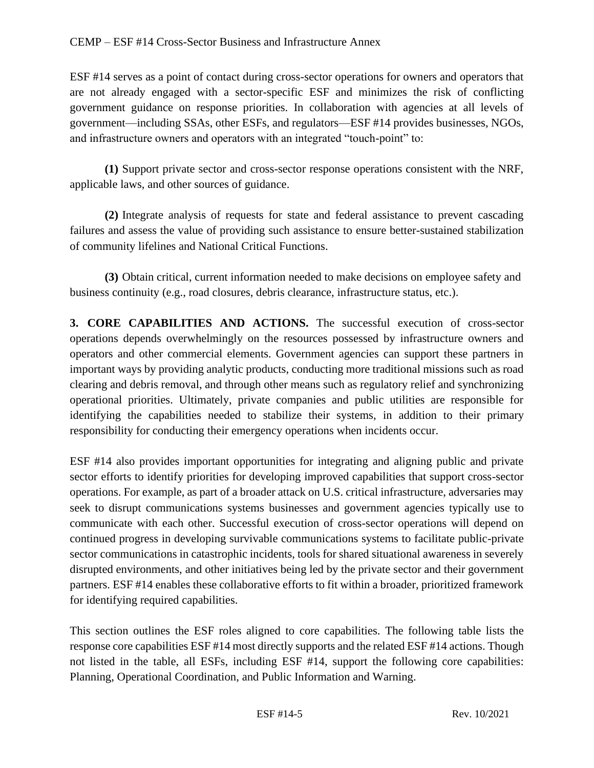ESF #14 serves as a point of contact during cross-sector operations for owners and operators that are not already engaged with a sector-specific ESF and minimizes the risk of conflicting government guidance on response priorities. In collaboration with agencies at all levels of government—including SSAs, other ESFs, and regulators—ESF #14 provides businesses, NGOs, and infrastructure owners and operators with an integrated "touch-point" to:

**(1)** Support private sector and cross-sector response operations consistent with the NRF, applicable laws, and other sources of guidance.

**(2)** Integrate analysis of requests for state and federal assistance to prevent cascading failures and assess the value of providing such assistance to ensure better-sustained stabilization of community lifelines and National Critical Functions.

**(3)** Obtain critical, current information needed to make decisions on employee safety and business continuity (e.g., road closures, debris clearance, infrastructure status, etc.).

**3. CORE CAPABILITIES AND ACTIONS.** The successful execution of cross-sector operations depends overwhelmingly on the resources possessed by infrastructure owners and operators and other commercial elements. Government agencies can support these partners in important ways by providing analytic products, conducting more traditional missions such as road clearing and debris removal, and through other means such as regulatory relief and synchronizing operational priorities. Ultimately, private companies and public utilities are responsible for identifying the capabilities needed to stabilize their systems, in addition to their primary responsibility for conducting their emergency operations when incidents occur.

ESF #14 also provides important opportunities for integrating and aligning public and private sector efforts to identify priorities for developing improved capabilities that support cross-sector operations. For example, as part of a broader attack on U.S. critical infrastructure, adversaries may seek to disrupt communications systems businesses and government agencies typically use to communicate with each other. Successful execution of cross-sector operations will depend on continued progress in developing survivable communications systems to facilitate public-private sector communications in catastrophic incidents, tools for shared situational awareness in severely disrupted environments, and other initiatives being led by the private sector and their government partners. ESF #14 enables these collaborative efforts to fit within a broader, prioritized framework for identifying required capabilities.

This section outlines the ESF roles aligned to core capabilities. The following table lists the response core capabilities ESF #14 most directly supports and the related ESF #14 actions. Though not listed in the table, all ESFs, including ESF #14, support the following core capabilities: Planning, Operational Coordination, and Public Information and Warning.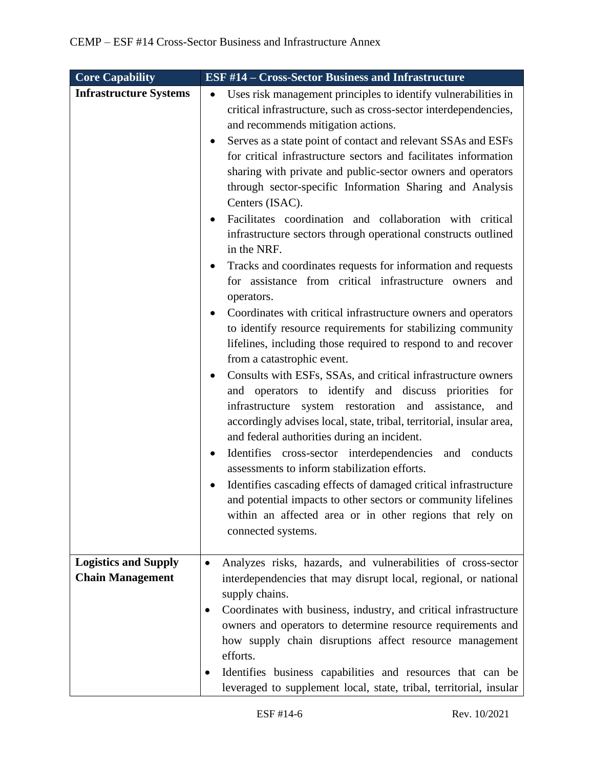| <b>Core Capability</b>        | <b>ESF #14 - Cross-Sector Business and Infrastructure</b>                                                                                                                                                                                                                                                                                                                                                                                                                                                                                                                                                                                                                                                                                                                                                                                                                                                                                                                                                                                                                                                                                                                                                                                                                                                                                                                                                                                                                                                                                                                                                                            |
|-------------------------------|--------------------------------------------------------------------------------------------------------------------------------------------------------------------------------------------------------------------------------------------------------------------------------------------------------------------------------------------------------------------------------------------------------------------------------------------------------------------------------------------------------------------------------------------------------------------------------------------------------------------------------------------------------------------------------------------------------------------------------------------------------------------------------------------------------------------------------------------------------------------------------------------------------------------------------------------------------------------------------------------------------------------------------------------------------------------------------------------------------------------------------------------------------------------------------------------------------------------------------------------------------------------------------------------------------------------------------------------------------------------------------------------------------------------------------------------------------------------------------------------------------------------------------------------------------------------------------------------------------------------------------------|
| <b>Infrastructure Systems</b> | Uses risk management principles to identify vulnerabilities in<br>٠<br>critical infrastructure, such as cross-sector interdependencies,<br>and recommends mitigation actions.<br>Serves as a state point of contact and relevant SSAs and ESFs<br>for critical infrastructure sectors and facilitates information<br>sharing with private and public-sector owners and operators<br>through sector-specific Information Sharing and Analysis<br>Centers (ISAC).<br>Facilitates coordination and collaboration with critical<br>infrastructure sectors through operational constructs outlined<br>in the NRF.<br>Tracks and coordinates requests for information and requests<br>for assistance from critical infrastructure owners and<br>operators.<br>Coordinates with critical infrastructure owners and operators<br>to identify resource requirements for stabilizing community<br>lifelines, including those required to respond to and recover<br>from a catastrophic event.<br>Consults with ESFs, SSAs, and critical infrastructure owners<br>and operators to identify and discuss priorities<br>for<br>system restoration and assistance,<br>infrastructure<br>and<br>accordingly advises local, state, tribal, territorial, insular area,<br>and federal authorities during an incident.<br>Identifies cross-sector interdependencies and conducts<br>assessments to inform stabilization efforts.<br>Identifies cascading effects of damaged critical infrastructure<br>and potential impacts to other sectors or community lifelines<br>within an affected area or in other regions that rely on<br>connected systems. |
| <b>Logistics and Supply</b>   | Analyzes risks, hazards, and vulnerabilities of cross-sector                                                                                                                                                                                                                                                                                                                                                                                                                                                                                                                                                                                                                                                                                                                                                                                                                                                                                                                                                                                                                                                                                                                                                                                                                                                                                                                                                                                                                                                                                                                                                                         |
| <b>Chain Management</b>       | interdependencies that may disrupt local, regional, or national<br>supply chains.                                                                                                                                                                                                                                                                                                                                                                                                                                                                                                                                                                                                                                                                                                                                                                                                                                                                                                                                                                                                                                                                                                                                                                                                                                                                                                                                                                                                                                                                                                                                                    |
|                               | Coordinates with business, industry, and critical infrastructure<br>$\bullet$<br>owners and operators to determine resource requirements and<br>how supply chain disruptions affect resource management<br>efforts.                                                                                                                                                                                                                                                                                                                                                                                                                                                                                                                                                                                                                                                                                                                                                                                                                                                                                                                                                                                                                                                                                                                                                                                                                                                                                                                                                                                                                  |
|                               | Identifies business capabilities and resources that can be<br>leveraged to supplement local, state, tribal, territorial, insular                                                                                                                                                                                                                                                                                                                                                                                                                                                                                                                                                                                                                                                                                                                                                                                                                                                                                                                                                                                                                                                                                                                                                                                                                                                                                                                                                                                                                                                                                                     |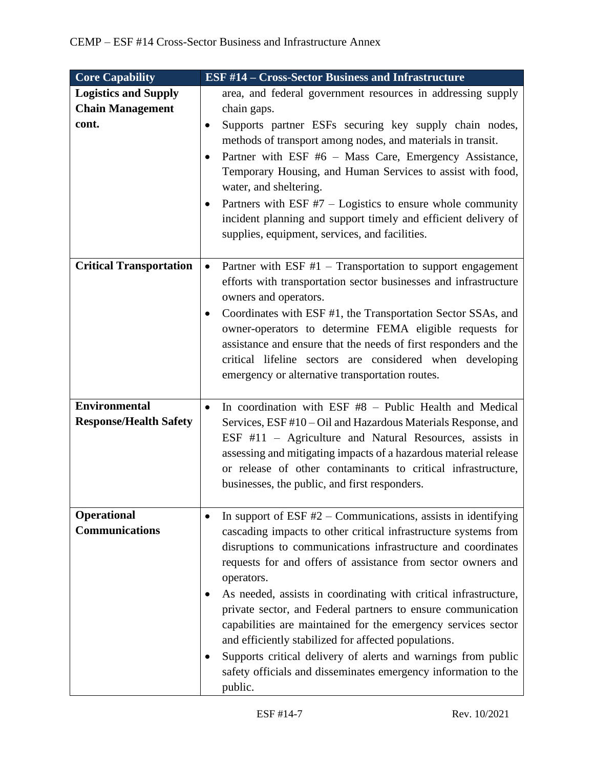| <b>Core Capability</b>                                 | <b>ESF #14 - Cross-Sector Business and Infrastructure</b>                                                                                                                                                                                                                                                                                                                                                                                                                                                                                     |
|--------------------------------------------------------|-----------------------------------------------------------------------------------------------------------------------------------------------------------------------------------------------------------------------------------------------------------------------------------------------------------------------------------------------------------------------------------------------------------------------------------------------------------------------------------------------------------------------------------------------|
| <b>Logistics and Supply</b><br><b>Chain Management</b> | area, and federal government resources in addressing supply<br>chain gaps.                                                                                                                                                                                                                                                                                                                                                                                                                                                                    |
| cont.                                                  | Supports partner ESFs securing key supply chain nodes,<br>$\bullet$<br>methods of transport among nodes, and materials in transit.<br>Partner with ESF #6 - Mass Care, Emergency Assistance,<br>Temporary Housing, and Human Services to assist with food,<br>water, and sheltering.<br>Partners with ESF $#7$ – Logistics to ensure whole community<br>incident planning and support timely and efficient delivery of<br>supplies, equipment, services, and facilities.                                                                      |
| <b>Critical Transportation</b>                         | Partner with ESF $#1$ – Transportation to support engagement<br>$\bullet$<br>efforts with transportation sector businesses and infrastructure<br>owners and operators.<br>Coordinates with ESF #1, the Transportation Sector SSAs, and<br>$\bullet$<br>owner-operators to determine FEMA eligible requests for<br>assistance and ensure that the needs of first responders and the<br>critical lifeline sectors are considered when developing<br>emergency or alternative transportation routes.                                             |
| <b>Environmental</b><br><b>Response/Health Safety</b>  | In coordination with ESF #8 - Public Health and Medical<br>$\bullet$<br>Services, ESF #10 – Oil and Hazardous Materials Response, and<br>ESF #11 – Agriculture and Natural Resources, assists in<br>assessing and mitigating impacts of a hazardous material release<br>or release of other contaminants to critical infrastructure,<br>businesses, the public, and first responders.                                                                                                                                                         |
| <b>Operational</b><br><b>Communications</b>            | In support of ESF $#2$ – Communications, assists in identifying<br>cascading impacts to other critical infrastructure systems from<br>disruptions to communications infrastructure and coordinates<br>requests for and offers of assistance from sector owners and<br>operators.<br>As needed, assists in coordinating with critical infrastructure,<br>private sector, and Federal partners to ensure communication<br>capabilities are maintained for the emergency services sector<br>and efficiently stabilized for affected populations. |
|                                                        | Supports critical delivery of alerts and warnings from public<br>safety officials and disseminates emergency information to the<br>public.                                                                                                                                                                                                                                                                                                                                                                                                    |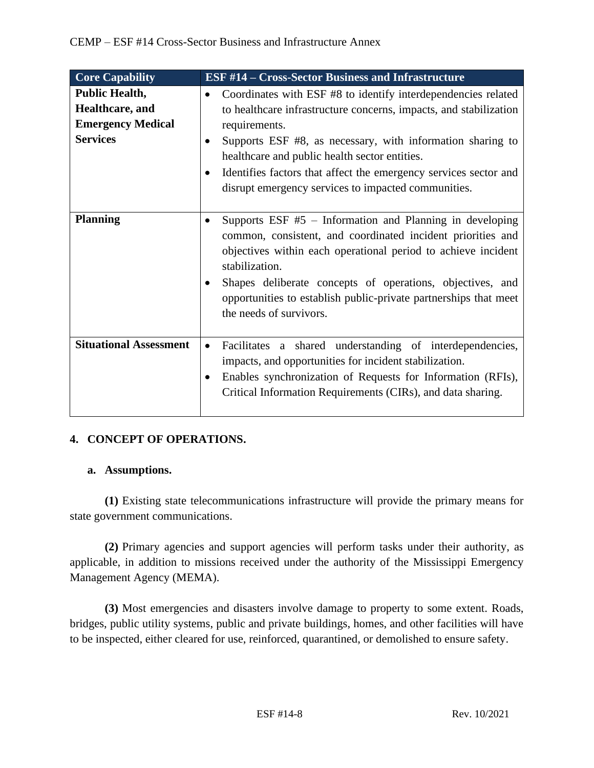| <b>Core Capability</b>                                                                  | <b>ESF #14 - Cross-Sector Business and Infrastructure</b>                                                                                                                                                                                                                                                                                                                                                               |
|-----------------------------------------------------------------------------------------|-------------------------------------------------------------------------------------------------------------------------------------------------------------------------------------------------------------------------------------------------------------------------------------------------------------------------------------------------------------------------------------------------------------------------|
| <b>Public Health,</b><br>Healthcare, and<br><b>Emergency Medical</b><br><b>Services</b> | Coordinates with ESF #8 to identify interdependencies related<br>$\bullet$<br>to healthcare infrastructure concerns, impacts, and stabilization<br>requirements.<br>Supports ESF #8, as necessary, with information sharing to<br>healthcare and public health sector entities.<br>Identifies factors that affect the emergency services sector and<br>$\bullet$<br>disrupt emergency services to impacted communities. |
| <b>Planning</b>                                                                         | Supports ESF $#5$ – Information and Planning in developing<br>$\bullet$<br>common, consistent, and coordinated incident priorities and<br>objectives within each operational period to achieve incident<br>stabilization.<br>Shapes deliberate concepts of operations, objectives, and<br>opportunities to establish public-private partnerships that meet<br>the needs of survivors.                                   |
| <b>Situational Assessment</b>                                                           | Facilitates a shared understanding of interdependencies,<br>$\bullet$<br>impacts, and opportunities for incident stabilization.<br>Enables synchronization of Requests for Information (RFIs),<br>Critical Information Requirements (CIRs), and data sharing.                                                                                                                                                           |

# **4. CONCEPT OF OPERATIONS.**

## **a. Assumptions.**

**(1)** Existing state telecommunications infrastructure will provide the primary means for state government communications.

**(2)** Primary agencies and support agencies will perform tasks under their authority, as applicable, in addition to missions received under the authority of the Mississippi Emergency Management Agency (MEMA).

**(3)** Most emergencies and disasters involve damage to property to some extent. Roads, bridges, public utility systems, public and private buildings, homes, and other facilities will have to be inspected, either cleared for use, reinforced, quarantined, or demolished to ensure safety.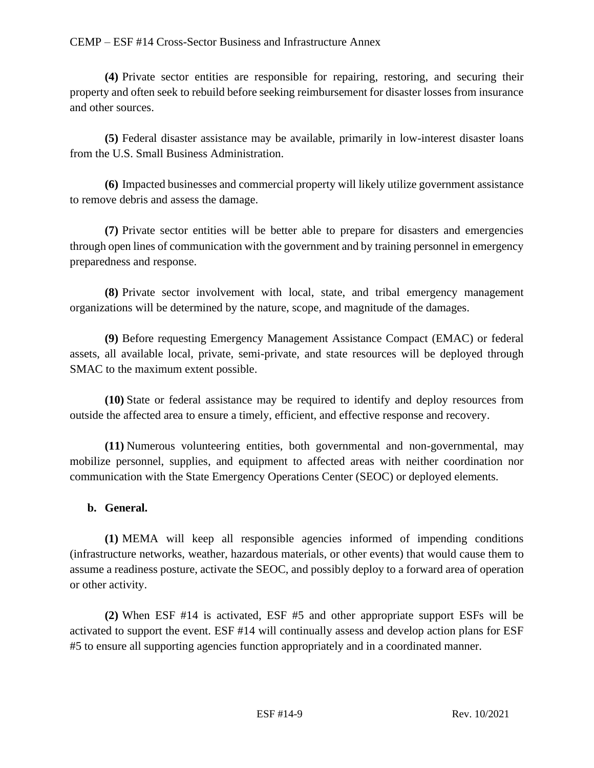**(4)** Private sector entities are responsible for repairing, restoring, and securing their property and often seek to rebuild before seeking reimbursement for disaster losses from insurance and other sources.

**(5)** Federal disaster assistance may be available, primarily in low-interest disaster loans from the U.S. Small Business Administration.

**(6)** Impacted businesses and commercial property will likely utilize government assistance to remove debris and assess the damage.

**(7)** Private sector entities will be better able to prepare for disasters and emergencies through open lines of communication with the government and by training personnel in emergency preparedness and response.

**(8)** Private sector involvement with local, state, and tribal emergency management organizations will be determined by the nature, scope, and magnitude of the damages.

**(9)** Before requesting Emergency Management Assistance Compact (EMAC) or federal assets, all available local, private, semi-private, and state resources will be deployed through SMAC to the maximum extent possible.

**(10)** State or federal assistance may be required to identify and deploy resources from outside the affected area to ensure a timely, efficient, and effective response and recovery.

**(11)** Numerous volunteering entities, both governmental and non-governmental, may mobilize personnel, supplies, and equipment to affected areas with neither coordination nor communication with the State Emergency Operations Center (SEOC) or deployed elements.

## **b. General.**

**(1)** MEMA will keep all responsible agencies informed of impending conditions (infrastructure networks, weather, hazardous materials, or other events) that would cause them to assume a readiness posture, activate the SEOC, and possibly deploy to a forward area of operation or other activity.

**(2)** When ESF #14 is activated, ESF #5 and other appropriate support ESFs will be activated to support the event. ESF #14 will continually assess and develop action plans for ESF #5 to ensure all supporting agencies function appropriately and in a coordinated manner.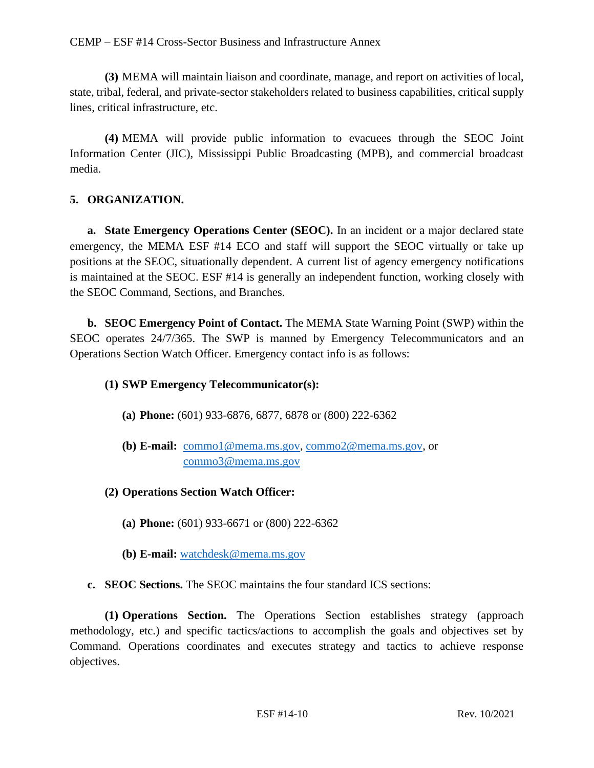**(3)** MEMA will maintain liaison and coordinate, manage, and report on activities of local, state, tribal, federal, and private-sector stakeholders related to business capabilities, critical supply lines, critical infrastructure, etc.

**(4)** MEMA will provide public information to evacuees through the SEOC Joint Information Center (JIC), Mississippi Public Broadcasting (MPB), and commercial broadcast media.

## **5. ORGANIZATION.**

**a. State Emergency Operations Center (SEOC).** In an incident or a major declared state emergency, the MEMA ESF #14 ECO and staff will support the SEOC virtually or take up positions at the SEOC, situationally dependent. A current list of agency emergency notifications is maintained at the SEOC. ESF #14 is generally an independent function, working closely with the SEOC Command, Sections, and Branches.

**b. SEOC Emergency Point of Contact.** The MEMA State Warning Point (SWP) within the SEOC operates 24/7/365. The SWP is manned by Emergency Telecommunicators and an Operations Section Watch Officer. Emergency contact info is as follows:

## **(1) SWP Emergency Telecommunicator(s):**

- **(a) Phone:** (601) 933-6876, 6877, 6878 or (800) 222-6362
- **(b) E-mail:** [commo1@mema.ms.gov,](mailto:commo1@mema.ms.gov) [commo2@mema.ms.gov,](mailto:commo2@mema.ms.gov) or [commo3@mema.ms.gov](mailto:commo3@mema.ms.gov)
- **(2) Operations Section Watch Officer:**
	- **(a) Phone:** (601) 933-6671 or (800) 222-6362
	- **(b) E-mail:** [watchdesk@mema.ms.gov](mailto:watchdesk@mema.ms.gov)
- **c. SEOC Sections.** The SEOC maintains the four standard ICS sections:

**(1) Operations Section.** The Operations Section establishes strategy (approach methodology, etc.) and specific tactics/actions to accomplish the goals and objectives set by Command. Operations coordinates and executes strategy and tactics to achieve response objectives.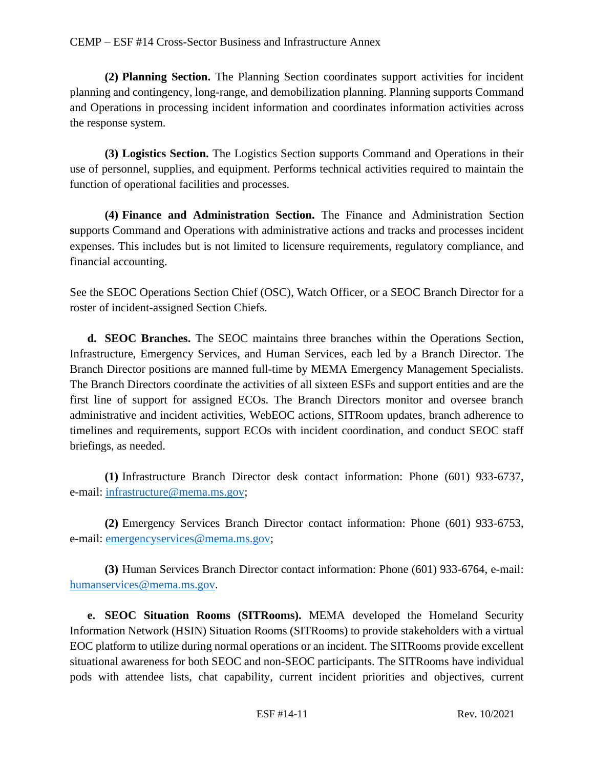**(2) Planning Section.** The Planning Section coordinates support activities for incident planning and contingency, long-range, and demobilization planning. Planning supports Command and Operations in processing incident information and coordinates information activities across the response system.

**(3) Logistics Section.** The Logistics Section **s**upports Command and Operations in their use of personnel, supplies, and equipment. Performs technical activities required to maintain the function of operational facilities and processes.

**(4) Finance and Administration Section.** The Finance and Administration Section **s**upports Command and Operations with administrative actions and tracks and processes incident expenses. This includes but is not limited to licensure requirements, regulatory compliance, and financial accounting.

See the SEOC Operations Section Chief (OSC), Watch Officer, or a SEOC Branch Director for a roster of incident-assigned Section Chiefs.

**d. SEOC Branches.** The SEOC maintains three branches within the Operations Section, Infrastructure, Emergency Services, and Human Services, each led by a Branch Director. The Branch Director positions are manned full-time by MEMA Emergency Management Specialists. The Branch Directors coordinate the activities of all sixteen ESFs and support entities and are the first line of support for assigned ECOs. The Branch Directors monitor and oversee branch administrative and incident activities, WebEOC actions, SITRoom updates, branch adherence to timelines and requirements, support ECOs with incident coordination, and conduct SEOC staff briefings, as needed.

**(1)** Infrastructure Branch Director desk contact information: Phone (601) 933-6737, e-mail: [infrastructure@mema.ms.gov;](mailto:infrastructure@mema.ms.gov)

**(2)** Emergency Services Branch Director contact information: Phone (601) 933-6753, e-mail: [emergencyservices@mema.ms.gov;](mailto:emergencyservices@mema.ms.gov)

**(3)** Human Services Branch Director contact information: Phone (601) 933-6764, e-mail: [humanservices@mema.ms.gov.](mailto:humanservices@mema.ms.gov)

**e. SEOC Situation Rooms (SITRooms).** MEMA developed the Homeland Security Information Network (HSIN) Situation Rooms (SITRooms) to provide stakeholders with a virtual EOC platform to utilize during normal operations or an incident. The SITRooms provide excellent situational awareness for both SEOC and non-SEOC participants. The SITRooms have individual pods with attendee lists, chat capability, current incident priorities and objectives, current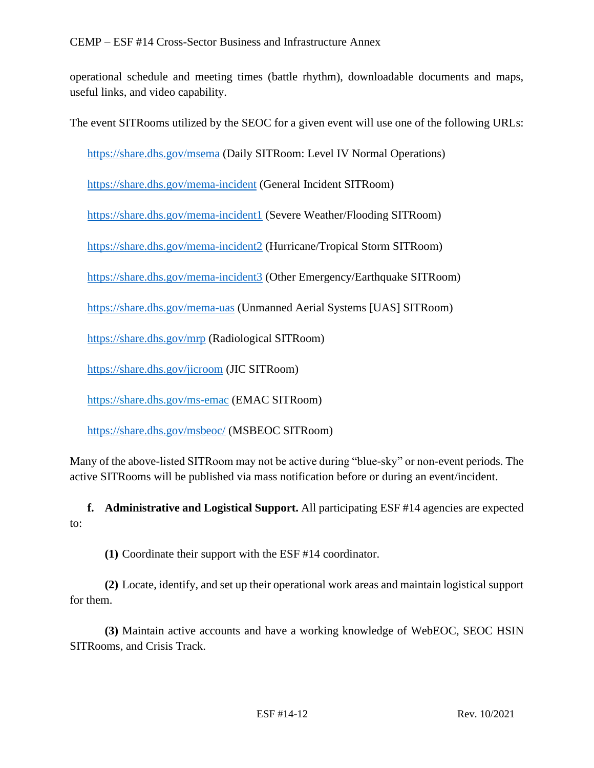operational schedule and meeting times (battle rhythm), downloadable documents and maps, useful links, and video capability.

The event SITRooms utilized by the SEOC for a given event will use one of the following URLs:

<https://share.dhs.gov/msema> (Daily SITRoom: Level IV Normal Operations)

<https://share.dhs.gov/mema-incident> (General Incident SITRoom)

<https://share.dhs.gov/mema-incident1> (Severe Weather/Flooding SITRoom)

<https://share.dhs.gov/mema-incident2> (Hurricane/Tropical Storm SITRoom)

<https://share.dhs.gov/mema-incident3> (Other Emergency/Earthquake SITRoom)

<https://share.dhs.gov/mema-uas> (Unmanned Aerial Systems [UAS] SITRoom)

<https://share.dhs.gov/mrp> (Radiological SITRoom)

<https://share.dhs.gov/jicroom> (JIC SITRoom)

<https://share.dhs.gov/ms-emac> (EMAC SITRoom)

<https://share.dhs.gov/msbeoc/> (MSBEOC SITRoom)

Many of the above-listed SITRoom may not be active during "blue-sky" or non-event periods. The active SITRooms will be published via mass notification before or during an event/incident.

**f. Administrative and Logistical Support.** All participating ESF #14 agencies are expected to:

**(1)** Coordinate their support with the ESF #14 coordinator.

**(2)** Locate, identify, and set up their operational work areas and maintain logistical support for them.

**(3)** Maintain active accounts and have a working knowledge of WebEOC, SEOC HSIN SITRooms, and Crisis Track.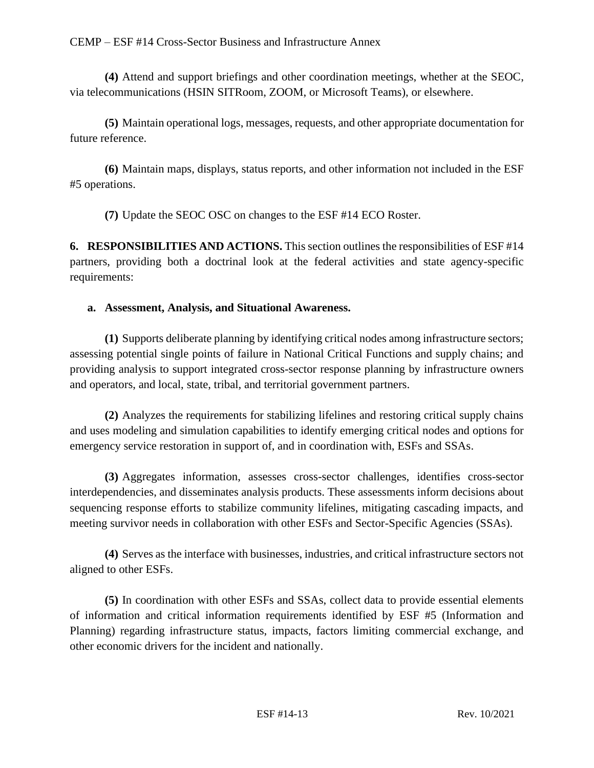**(4)** Attend and support briefings and other coordination meetings, whether at the SEOC, via telecommunications (HSIN SITRoom, ZOOM, or Microsoft Teams), or elsewhere.

**(5)** Maintain operational logs, messages, requests, and other appropriate documentation for future reference.

**(6)** Maintain maps, displays, status reports, and other information not included in the ESF #5 operations.

**(7)** Update the SEOC OSC on changes to the ESF #14 ECO Roster.

**6. RESPONSIBILITIES AND ACTIONS.** This section outlines the responsibilities of ESF #14 partners, providing both a doctrinal look at the federal activities and state agency-specific requirements:

# **a. Assessment, Analysis, and Situational Awareness.**

**(1)** Supports deliberate planning by identifying critical nodes among infrastructure sectors; assessing potential single points of failure in National Critical Functions and supply chains; and providing analysis to support integrated cross-sector response planning by infrastructure owners and operators, and local, state, tribal, and territorial government partners.

**(2)** Analyzes the requirements for stabilizing lifelines and restoring critical supply chains and uses modeling and simulation capabilities to identify emerging critical nodes and options for emergency service restoration in support of, and in coordination with, ESFs and SSAs.

**(3)** Aggregates information, assesses cross-sector challenges, identifies cross-sector interdependencies, and disseminates analysis products. These assessments inform decisions about sequencing response efforts to stabilize community lifelines, mitigating cascading impacts, and meeting survivor needs in collaboration with other ESFs and Sector-Specific Agencies (SSAs).

**(4)** Serves as the interface with businesses, industries, and critical infrastructure sectors not aligned to other ESFs.

**(5)** In coordination with other ESFs and SSAs, collect data to provide essential elements of information and critical information requirements identified by ESF #5 (Information and Planning) regarding infrastructure status, impacts, factors limiting commercial exchange, and other economic drivers for the incident and nationally.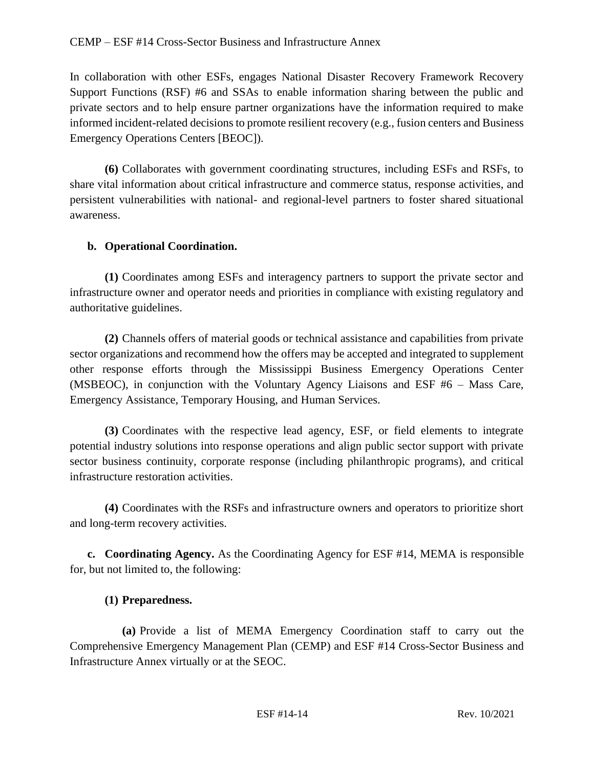In collaboration with other ESFs, engages National Disaster Recovery Framework Recovery Support Functions (RSF) #6 and SSAs to enable information sharing between the public and private sectors and to help ensure partner organizations have the information required to make informed incident-related decisions to promote resilient recovery (e.g., fusion centers and Business Emergency Operations Centers [BEOC]).

**(6)** Collaborates with government coordinating structures, including ESFs and RSFs, to share vital information about critical infrastructure and commerce status, response activities, and persistent vulnerabilities with national- and regional-level partners to foster shared situational awareness.

## **b. Operational Coordination.**

**(1)** Coordinates among ESFs and interagency partners to support the private sector and infrastructure owner and operator needs and priorities in compliance with existing regulatory and authoritative guidelines.

**(2)** Channels offers of material goods or technical assistance and capabilities from private sector organizations and recommend how the offers may be accepted and integrated to supplement other response efforts through the Mississippi Business Emergency Operations Center (MSBEOC), in conjunction with the Voluntary Agency Liaisons and ESF #6 – Mass Care, Emergency Assistance, Temporary Housing, and Human Services.

**(3)** Coordinates with the respective lead agency, ESF, or field elements to integrate potential industry solutions into response operations and align public sector support with private sector business continuity, corporate response (including philanthropic programs), and critical infrastructure restoration activities.

**(4)** Coordinates with the RSFs and infrastructure owners and operators to prioritize short and long-term recovery activities.

**c. Coordinating Agency.** As the Coordinating Agency for ESF #14, MEMA is responsible for, but not limited to, the following:

## **(1) Preparedness.**

**(a)** Provide a list of MEMA Emergency Coordination staff to carry out the Comprehensive Emergency Management Plan (CEMP) and ESF #14 Cross-Sector Business and Infrastructure Annex virtually or at the SEOC.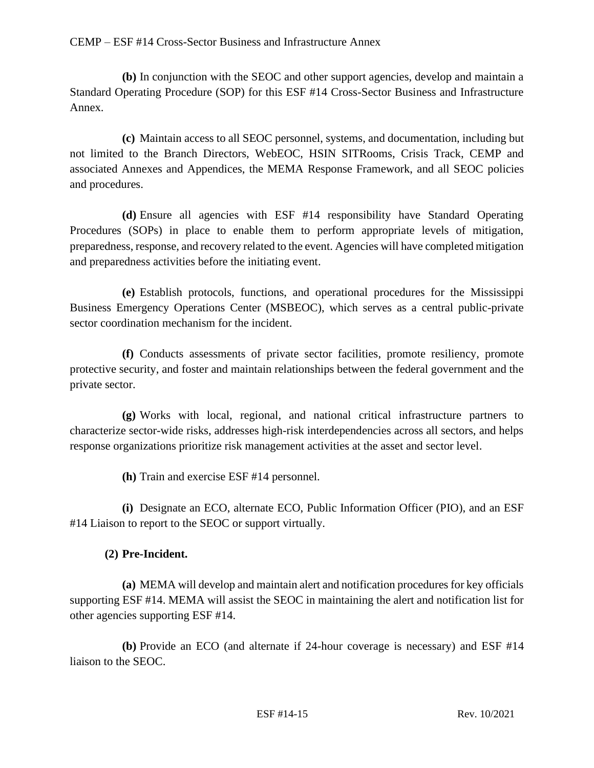**(b)** In conjunction with the SEOC and other support agencies, develop and maintain a Standard Operating Procedure (SOP) for this ESF #14 Cross-Sector Business and Infrastructure Annex.

**(c)** Maintain access to all SEOC personnel, systems, and documentation, including but not limited to the Branch Directors, WebEOC, HSIN SITRooms, Crisis Track, CEMP and associated Annexes and Appendices, the MEMA Response Framework, and all SEOC policies and procedures.

**(d)** Ensure all agencies with ESF #14 responsibility have Standard Operating Procedures (SOPs) in place to enable them to perform appropriate levels of mitigation, preparedness, response, and recovery related to the event. Agencies will have completed mitigation and preparedness activities before the initiating event.

**(e)** Establish protocols, functions, and operational procedures for the Mississippi Business Emergency Operations Center (MSBEOC), which serves as a central public-private sector coordination mechanism for the incident.

**(f)** Conducts assessments of private sector facilities, promote resiliency, promote protective security, and foster and maintain relationships between the federal government and the private sector.

**(g)** Works with local, regional, and national critical infrastructure partners to characterize sector-wide risks, addresses high-risk interdependencies across all sectors, and helps response organizations prioritize risk management activities at the asset and sector level.

**(h)** Train and exercise ESF #14 personnel.

**(i)** Designate an ECO, alternate ECO, Public Information Officer (PIO), and an ESF #14 Liaison to report to the SEOC or support virtually.

# **(2) Pre-Incident.**

**(a)** MEMA will develop and maintain alert and notification procedures for key officials supporting ESF #14. MEMA will assist the SEOC in maintaining the alert and notification list for other agencies supporting ESF #14.

**(b)** Provide an ECO (and alternate if 24-hour coverage is necessary) and ESF #14 liaison to the SEOC.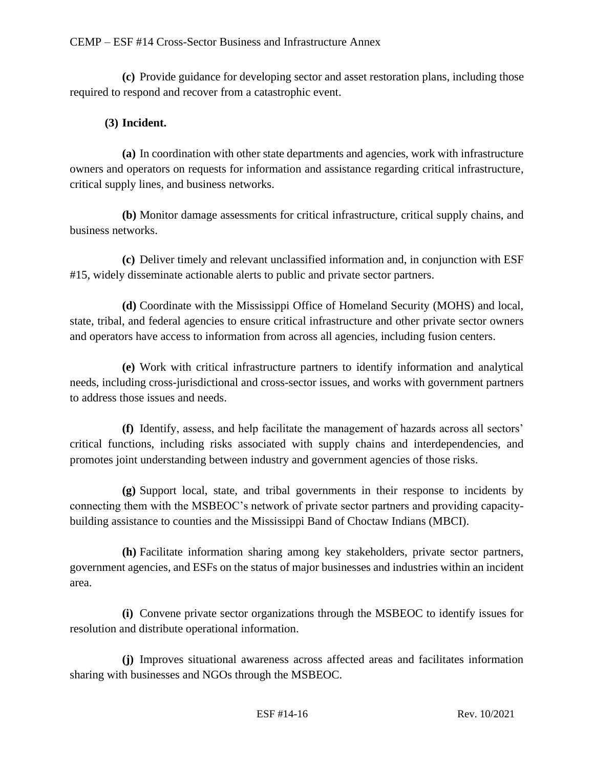**(c)** Provide guidance for developing sector and asset restoration plans, including those required to respond and recover from a catastrophic event.

## **(3) Incident.**

**(a)** In coordination with other state departments and agencies, work with infrastructure owners and operators on requests for information and assistance regarding critical infrastructure, critical supply lines, and business networks.

**(b)** Monitor damage assessments for critical infrastructure, critical supply chains, and business networks.

**(c)** Deliver timely and relevant unclassified information and, in conjunction with ESF #15, widely disseminate actionable alerts to public and private sector partners.

**(d)** Coordinate with the Mississippi Office of Homeland Security (MOHS) and local, state, tribal, and federal agencies to ensure critical infrastructure and other private sector owners and operators have access to information from across all agencies, including fusion centers.

**(e)** Work with critical infrastructure partners to identify information and analytical needs, including cross-jurisdictional and cross-sector issues, and works with government partners to address those issues and needs.

**(f)** Identify, assess, and help facilitate the management of hazards across all sectors' critical functions, including risks associated with supply chains and interdependencies, and promotes joint understanding between industry and government agencies of those risks.

**(g)** Support local, state, and tribal governments in their response to incidents by connecting them with the MSBEOC's network of private sector partners and providing capacitybuilding assistance to counties and the Mississippi Band of Choctaw Indians (MBCI).

**(h)** Facilitate information sharing among key stakeholders, private sector partners, government agencies, and ESFs on the status of major businesses and industries within an incident area.

**(i)** Convene private sector organizations through the MSBEOC to identify issues for resolution and distribute operational information.

**(j)** Improves situational awareness across affected areas and facilitates information sharing with businesses and NGOs through the MSBEOC.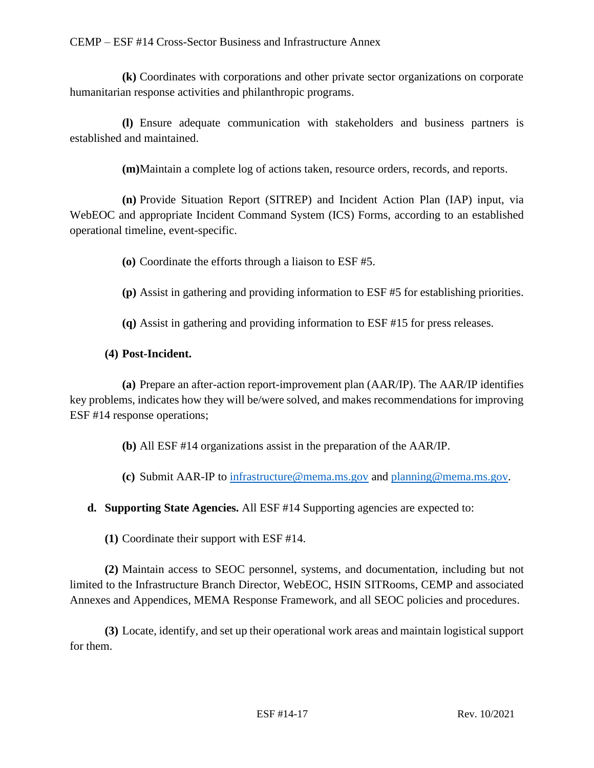**(k)** Coordinates with corporations and other private sector organizations on corporate humanitarian response activities and philanthropic programs.

**(l)** Ensure adequate communication with stakeholders and business partners is established and maintained.

**(m)**Maintain a complete log of actions taken, resource orders, records, and reports.

**(n)** Provide Situation Report (SITREP) and Incident Action Plan (IAP) input, via WebEOC and appropriate Incident Command System (ICS) Forms, according to an established operational timeline, event-specific.

**(o)** Coordinate the efforts through a liaison to ESF #5.

- **(p)** Assist in gathering and providing information to ESF #5 for establishing priorities.
- **(q)** Assist in gathering and providing information to ESF #15 for press releases.

## **(4) Post-Incident.**

**(a)** Prepare an after-action report-improvement plan (AAR/IP). The AAR/IP identifies key problems, indicates how they will be/were solved, and makes recommendations for improving ESF #14 response operations;

**(b)** All ESF #14 organizations assist in the preparation of the AAR/IP.

**(c)** Submit AAR-IP to [infrastructure@mema.ms.gov](mailto:infrastructure@mema.ms.gov) and [planning@mema.ms.gov.](mailto:planning@mema.ms.gov)

**d. Supporting State Agencies.** All ESF #14 Supporting agencies are expected to:

**(1)** Coordinate their support with ESF #14.

**(2)** Maintain access to SEOC personnel, systems, and documentation, including but not limited to the Infrastructure Branch Director, WebEOC, HSIN SITRooms, CEMP and associated Annexes and Appendices, MEMA Response Framework, and all SEOC policies and procedures.

**(3)** Locate, identify, and set up their operational work areas and maintain logistical support for them.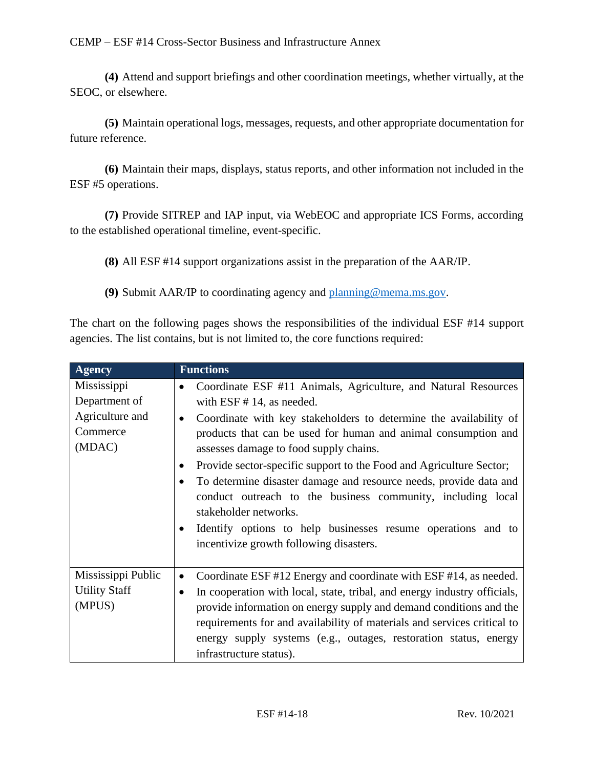**(4)** Attend and support briefings and other coordination meetings, whether virtually, at the SEOC, or elsewhere.

**(5)** Maintain operational logs, messages, requests, and other appropriate documentation for future reference.

**(6)** Maintain their maps, displays, status reports, and other information not included in the ESF #5 operations.

**(7)** Provide SITREP and IAP input, via WebEOC and appropriate ICS Forms, according to the established operational timeline, event-specific.

**(8)** All ESF #14 support organizations assist in the preparation of the AAR/IP.

**(9)** Submit AAR/IP to coordinating agency and [planning@mema.ms.gov.](mailto:planning@mema.ms.gov)

The chart on the following pages shows the responsibilities of the individual ESF #14 support agencies. The list contains, but is not limited to, the core functions required:

| <b>Agency</b>                                                         | <b>Functions</b>                                                                                                                                                                                                                                                                                                                                                                                                                                                                                                                                                                                                                                                                                |
|-----------------------------------------------------------------------|-------------------------------------------------------------------------------------------------------------------------------------------------------------------------------------------------------------------------------------------------------------------------------------------------------------------------------------------------------------------------------------------------------------------------------------------------------------------------------------------------------------------------------------------------------------------------------------------------------------------------------------------------------------------------------------------------|
| Mississippi<br>Department of<br>Agriculture and<br>Commerce<br>(MDAC) | Coordinate ESF #11 Animals, Agriculture, and Natural Resources<br>$\bullet$<br>with $ESF # 14$ , as needed.<br>Coordinate with key stakeholders to determine the availability of<br>$\bullet$<br>products that can be used for human and animal consumption and<br>assesses damage to food supply chains.<br>Provide sector-specific support to the Food and Agriculture Sector;<br>$\bullet$<br>To determine disaster damage and resource needs, provide data and<br>$\bullet$<br>conduct outreach to the business community, including local<br>stakeholder networks.<br>Identify options to help businesses resume operations and to<br>$\bullet$<br>incentivize growth following disasters. |
| Mississippi Public<br><b>Utility Staff</b><br>(MPUS)                  | Coordinate ESF #12 Energy and coordinate with ESF #14, as needed.<br>٠<br>In cooperation with local, state, tribal, and energy industry officials,<br>$\bullet$<br>provide information on energy supply and demand conditions and the<br>requirements for and availability of materials and services critical to<br>energy supply systems (e.g., outages, restoration status, energy<br>infrastructure status).                                                                                                                                                                                                                                                                                 |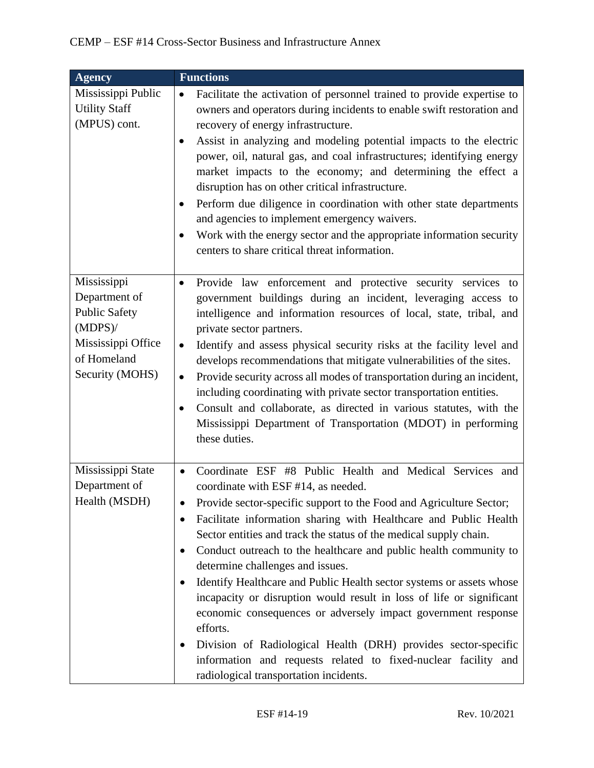| <b>Agency</b>                                                                                                              | <b>Functions</b>                                                                                                                                                                                                                                                                                                                                                                                                                                                                                                                                                                                                                                                                                                                                                                                                                                                           |
|----------------------------------------------------------------------------------------------------------------------------|----------------------------------------------------------------------------------------------------------------------------------------------------------------------------------------------------------------------------------------------------------------------------------------------------------------------------------------------------------------------------------------------------------------------------------------------------------------------------------------------------------------------------------------------------------------------------------------------------------------------------------------------------------------------------------------------------------------------------------------------------------------------------------------------------------------------------------------------------------------------------|
| Mississippi Public<br><b>Utility Staff</b><br>(MPUS) cont.                                                                 | Facilitate the activation of personnel trained to provide expertise to<br>$\bullet$<br>owners and operators during incidents to enable swift restoration and<br>recovery of energy infrastructure.<br>Assist in analyzing and modeling potential impacts to the electric<br>$\bullet$<br>power, oil, natural gas, and coal infrastructures; identifying energy<br>market impacts to the economy; and determining the effect a<br>disruption has on other critical infrastructure.<br>Perform due diligence in coordination with other state departments<br>and agencies to implement emergency waivers.<br>Work with the energy sector and the appropriate information security<br>$\bullet$<br>centers to share critical threat information.                                                                                                                              |
| Mississippi<br>Department of<br><b>Public Safety</b><br>$(MDPS)$ /<br>Mississippi Office<br>of Homeland<br>Security (MOHS) | Provide law enforcement and protective security services to<br>$\bullet$<br>government buildings during an incident, leveraging access to<br>intelligence and information resources of local, state, tribal, and<br>private sector partners.<br>Identify and assess physical security risks at the facility level and<br>$\bullet$<br>develops recommendations that mitigate vulnerabilities of the sites.<br>Provide security across all modes of transportation during an incident,<br>$\bullet$<br>including coordinating with private sector transportation entities.<br>Consult and collaborate, as directed in various statutes, with the<br>$\bullet$<br>Mississippi Department of Transportation (MDOT) in performing<br>these duties.                                                                                                                             |
| Mississippi State<br>Department of<br>Health (MSDH)                                                                        | Coordinate ESF #8 Public Health and Medical Services and<br>$\bullet$<br>coordinate with ESF #14, as needed.<br>Provide sector-specific support to the Food and Agriculture Sector;<br>$\bullet$<br>Facilitate information sharing with Healthcare and Public Health<br>Sector entities and track the status of the medical supply chain.<br>Conduct outreach to the healthcare and public health community to<br>$\bullet$<br>determine challenges and issues.<br>Identify Healthcare and Public Health sector systems or assets whose<br>incapacity or disruption would result in loss of life or significant<br>economic consequences or adversely impact government response<br>efforts.<br>Division of Radiological Health (DRH) provides sector-specific<br>information and requests related to fixed-nuclear facility and<br>radiological transportation incidents. |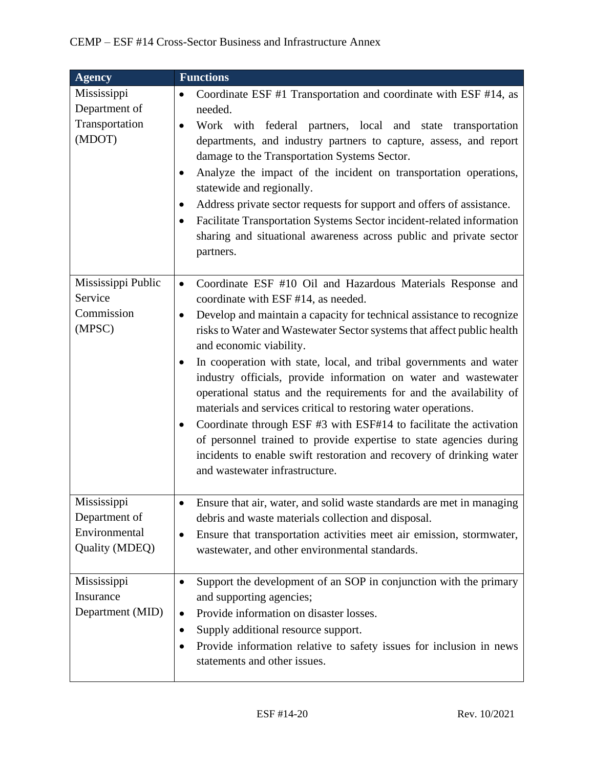| <b>Agency</b>                                                   | <b>Functions</b>                                                                                                                                                                                                                                                                                                                                                                                                                                                                                                                                                                                                                                                                                                                                                                                                                                                |
|-----------------------------------------------------------------|-----------------------------------------------------------------------------------------------------------------------------------------------------------------------------------------------------------------------------------------------------------------------------------------------------------------------------------------------------------------------------------------------------------------------------------------------------------------------------------------------------------------------------------------------------------------------------------------------------------------------------------------------------------------------------------------------------------------------------------------------------------------------------------------------------------------------------------------------------------------|
| Mississippi<br>Department of<br>Transportation<br>(MDOT)        | Coordinate ESF #1 Transportation and coordinate with ESF #14, as<br>$\bullet$<br>needed.<br>Work with federal partners, local and state transportation<br>$\bullet$<br>departments, and industry partners to capture, assess, and report<br>damage to the Transportation Systems Sector.<br>Analyze the impact of the incident on transportation operations,<br>$\bullet$<br>statewide and regionally.<br>Address private sector requests for support and offers of assistance.<br>$\bullet$<br>Facilitate Transportation Systems Sector incident-related information<br>sharing and situational awareness across public and private sector<br>partners.                                                                                                                                                                                                        |
| Mississippi Public<br>Service<br>Commission<br>(MPSC)           | Coordinate ESF #10 Oil and Hazardous Materials Response and<br>$\bullet$<br>coordinate with ESF #14, as needed.<br>Develop and maintain a capacity for technical assistance to recognize<br>$\bullet$<br>risks to Water and Wastewater Sector systems that affect public health<br>and economic viability.<br>In cooperation with state, local, and tribal governments and water<br>$\bullet$<br>industry officials, provide information on water and wastewater<br>operational status and the requirements for and the availability of<br>materials and services critical to restoring water operations.<br>Coordinate through ESF #3 with ESF#14 to facilitate the activation<br>of personnel trained to provide expertise to state agencies during<br>incidents to enable swift restoration and recovery of drinking water<br>and wastewater infrastructure. |
| Mississippi<br>Department of<br>Environmental<br>Quality (MDEQ) | Ensure that air, water, and solid waste standards are met in managing<br>$\bullet$<br>debris and waste materials collection and disposal.<br>Ensure that transportation activities meet air emission, stormwater,<br>$\bullet$<br>wastewater, and other environmental standards.                                                                                                                                                                                                                                                                                                                                                                                                                                                                                                                                                                                |
| Mississippi<br>Insurance<br>Department (MID)                    | Support the development of an SOP in conjunction with the primary<br>$\bullet$<br>and supporting agencies;<br>Provide information on disaster losses.<br>$\bullet$<br>Supply additional resource support.<br>$\bullet$<br>Provide information relative to safety issues for inclusion in news<br>statements and other issues.                                                                                                                                                                                                                                                                                                                                                                                                                                                                                                                                   |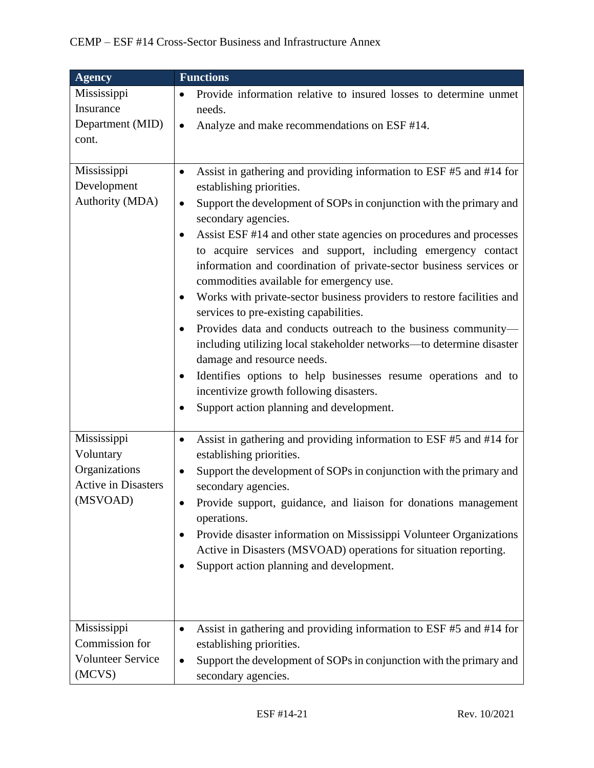| <b>Agency</b>                                                                                      | <b>Functions</b>                                                                                                                                                                                                                                                                                                                                                                                                                                                                                                                                                                                                                                                                                                                                                                                                                                                                                                                                         |
|----------------------------------------------------------------------------------------------------|----------------------------------------------------------------------------------------------------------------------------------------------------------------------------------------------------------------------------------------------------------------------------------------------------------------------------------------------------------------------------------------------------------------------------------------------------------------------------------------------------------------------------------------------------------------------------------------------------------------------------------------------------------------------------------------------------------------------------------------------------------------------------------------------------------------------------------------------------------------------------------------------------------------------------------------------------------|
| Mississippi<br>Insurance<br>Department (MID)<br>cont.                                              | Provide information relative to insured losses to determine unmet<br>$\bullet$<br>needs.<br>Analyze and make recommendations on ESF #14.<br>$\bullet$                                                                                                                                                                                                                                                                                                                                                                                                                                                                                                                                                                                                                                                                                                                                                                                                    |
| Mississippi<br>Development<br>Authority (MDA)                                                      | Assist in gathering and providing information to ESF #5 and #14 for<br>$\bullet$<br>establishing priorities.<br>Support the development of SOPs in conjunction with the primary and<br>٠<br>secondary agencies.<br>Assist ESF #14 and other state agencies on procedures and processes<br>to acquire services and support, including emergency contact<br>information and coordination of private-sector business services or<br>commodities available for emergency use.<br>Works with private-sector business providers to restore facilities and<br>services to pre-existing capabilities.<br>Provides data and conducts outreach to the business community-<br>including utilizing local stakeholder networks-to determine disaster<br>damage and resource needs.<br>Identifies options to help businesses resume operations and to<br>$\bullet$<br>incentivize growth following disasters.<br>Support action planning and development.<br>$\bullet$ |
| Mississippi<br>Voluntary<br>Organizations<br><b>Active in Disasters</b><br>(MSVOAD)<br>Mississippi | Assist in gathering and providing information to ESF #5 and #14 for<br>$\bullet$<br>establishing priorities.<br>Support the development of SOPs in conjunction with the primary and<br>secondary agencies.<br>Provide support, guidance, and liaison for donations management<br>operations.<br>Provide disaster information on Mississippi Volunteer Organizations<br>$\bullet$<br>Active in Disasters (MSVOAD) operations for situation reporting.<br>Support action planning and development.<br>$\bullet$                                                                                                                                                                                                                                                                                                                                                                                                                                            |
| Commission for<br><b>Volunteer Service</b><br>(MCVS)                                               | Assist in gathering and providing information to ESF #5 and #14 for<br>$\bullet$<br>establishing priorities.<br>Support the development of SOPs in conjunction with the primary and<br>$\bullet$<br>secondary agencies.                                                                                                                                                                                                                                                                                                                                                                                                                                                                                                                                                                                                                                                                                                                                  |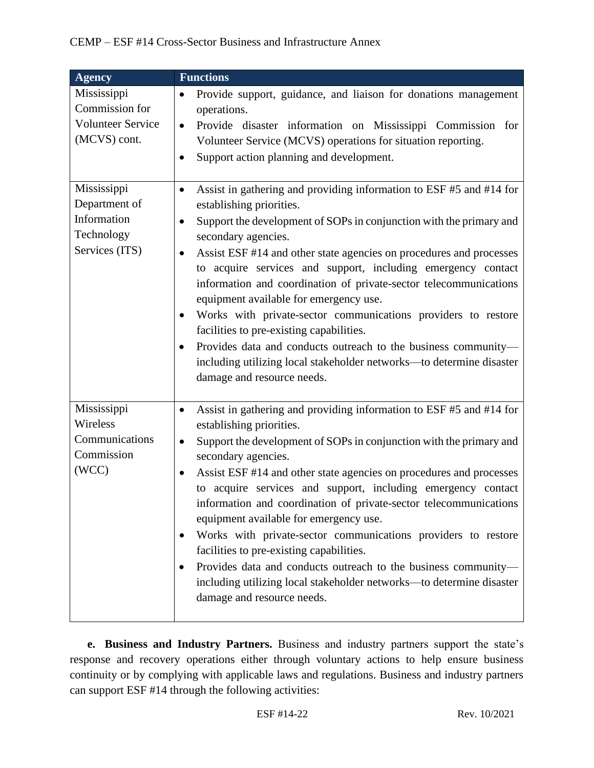| <b>Agency</b>                                                               | <b>Functions</b>                                                                                                                                                                                                                                                                                                                                                                                                                                                                                                                                                                                                                                                                                                                                                                                  |
|-----------------------------------------------------------------------------|---------------------------------------------------------------------------------------------------------------------------------------------------------------------------------------------------------------------------------------------------------------------------------------------------------------------------------------------------------------------------------------------------------------------------------------------------------------------------------------------------------------------------------------------------------------------------------------------------------------------------------------------------------------------------------------------------------------------------------------------------------------------------------------------------|
| Mississippi<br>Commission for<br><b>Volunteer Service</b><br>(MCVS) cont.   | Provide support, guidance, and liaison for donations management<br>٠<br>operations.<br>Provide disaster information on Mississippi Commission for<br>$\bullet$<br>Volunteer Service (MCVS) operations for situation reporting.<br>Support action planning and development.<br>$\bullet$                                                                                                                                                                                                                                                                                                                                                                                                                                                                                                           |
| Mississippi<br>Department of<br>Information<br>Technology<br>Services (ITS) | Assist in gathering and providing information to ESF #5 and #14 for<br>٠<br>establishing priorities.<br>Support the development of SOPs in conjunction with the primary and<br>٠<br>secondary agencies.<br>Assist ESF #14 and other state agencies on procedures and processes<br>$\bullet$<br>to acquire services and support, including emergency contact<br>information and coordination of private-sector telecommunications<br>equipment available for emergency use.<br>Works with private-sector communications providers to restore<br>facilities to pre-existing capabilities.<br>Provides data and conducts outreach to the business community-<br>including utilizing local stakeholder networks—to determine disaster<br>damage and resource needs.                                   |
| Mississippi<br>Wireless<br>Communications<br>Commission<br>(WCC)            | Assist in gathering and providing information to ESF #5 and #14 for<br>$\bullet$<br>establishing priorities.<br>Support the development of SOPs in conjunction with the primary and<br>$\bullet$<br>secondary agencies.<br>Assist ESF #14 and other state agencies on procedures and processes<br>٠<br>to acquire services and support, including emergency contact<br>information and coordination of private-sector telecommunications<br>equipment available for emergency use.<br>Works with private-sector communications providers to restore<br>$\bullet$<br>facilities to pre-existing capabilities.<br>Provides data and conducts outreach to the business community-<br>$\bullet$<br>including utilizing local stakeholder networks-to determine disaster<br>damage and resource needs. |

**e. Business and Industry Partners.** Business and industry partners support the state's response and recovery operations either through voluntary actions to help ensure business continuity or by complying with applicable laws and regulations. Business and industry partners can support ESF #14 through the following activities: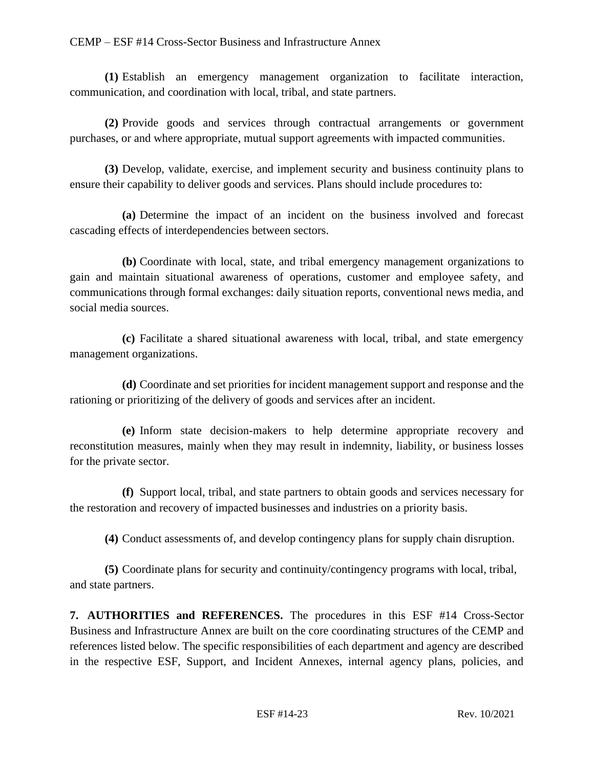**(1)** Establish an emergency management organization to facilitate interaction, communication, and coordination with local, tribal, and state partners.

**(2)** Provide goods and services through contractual arrangements or government purchases, or and where appropriate, mutual support agreements with impacted communities.

**(3)** Develop, validate, exercise, and implement security and business continuity plans to ensure their capability to deliver goods and services. Plans should include procedures to:

**(a)** Determine the impact of an incident on the business involved and forecast cascading effects of interdependencies between sectors.

**(b)** Coordinate with local, state, and tribal emergency management organizations to gain and maintain situational awareness of operations, customer and employee safety, and communications through formal exchanges: daily situation reports, conventional news media, and social media sources.

**(c)** Facilitate a shared situational awareness with local, tribal, and state emergency management organizations.

**(d)** Coordinate and set priorities for incident management support and response and the rationing or prioritizing of the delivery of goods and services after an incident.

**(e)** Inform state decision-makers to help determine appropriate recovery and reconstitution measures, mainly when they may result in indemnity, liability, or business losses for the private sector.

**(f)** Support local, tribal, and state partners to obtain goods and services necessary for the restoration and recovery of impacted businesses and industries on a priority basis.

**(4)** Conduct assessments of, and develop contingency plans for supply chain disruption.

**(5)** Coordinate plans for security and continuity/contingency programs with local, tribal, and state partners.

**7. AUTHORITIES and REFERENCES.** The procedures in this ESF #14 Cross-Sector Business and Infrastructure Annex are built on the core coordinating structures of the CEMP and references listed below. The specific responsibilities of each department and agency are described in the respective ESF, Support, and Incident Annexes, internal agency plans, policies, and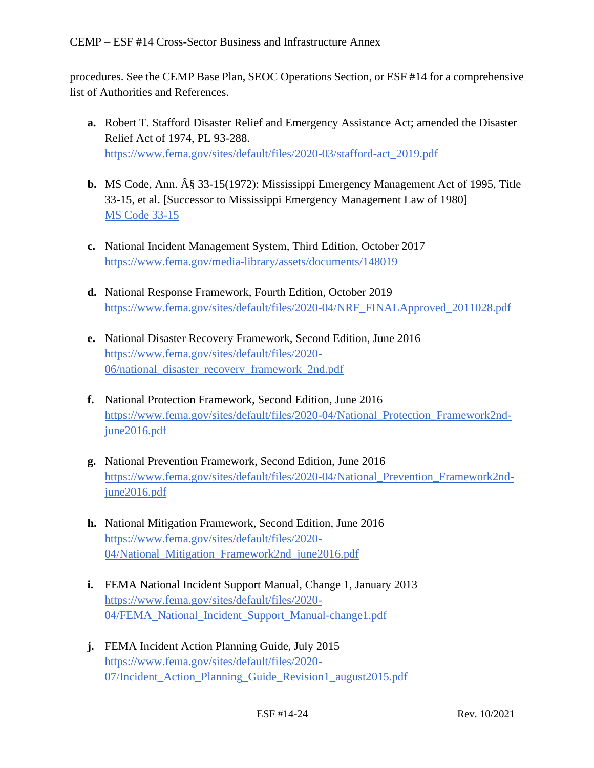procedures. See the CEMP Base Plan, SEOC Operations Section, or ESF #14 for a comprehensive list of Authorities and References.

- **a.** Robert T. Stafford Disaster Relief and Emergency Assistance Act; amended the Disaster Relief Act of 1974, PL 93-288. [https://www.fema.gov/sites/default/files/2020-03/stafford-act\\_2019.pdf](https://www.fema.gov/sites/default/files/2020-03/stafford-act_2019.pdf)
- **b.** MS Code, Ann.  $\hat{A}\$  33-15(1972): Mississippi Emergency Management Act of 1995, Title 33-15, et al. [Successor to Mississippi Emergency Management Law of 1980] [MS Code 33-15](https://law.justia.com/codes/mississippi/2010/title-33/15/)
- **c.** National Incident Management System, Third Edition, October 2017 <https://www.fema.gov/media-library/assets/documents/148019>
- **d.** National Response Framework, Fourth Edition, October 2019 [https://www.fema.gov/sites/default/files/2020-04/NRF\\_FINALApproved\\_2011028.pdf](https://www.fema.gov/sites/default/files/2020-04/NRF_FINALApproved_2011028.pdf)
- **e.** National Disaster Recovery Framework, Second Edition, June 2016 [https://www.fema.gov/sites/default/files/2020-](https://www.fema.gov/sites/default/files/2020-06/national_disaster_recovery_framework_2nd.pdf) [06/national\\_disaster\\_recovery\\_framework\\_2nd.pdf](https://www.fema.gov/sites/default/files/2020-06/national_disaster_recovery_framework_2nd.pdf)
- **f.** National Protection Framework, Second Edition, June 2016 [https://www.fema.gov/sites/default/files/2020-04/National\\_Protection\\_Framework2nd](https://www.fema.gov/sites/default/files/2020-04/National_Protection_Framework2nd-june2016.pdf)[june2016.pdf](https://www.fema.gov/sites/default/files/2020-04/National_Protection_Framework2nd-june2016.pdf)
- **g.** National Prevention Framework, Second Edition, June 2016 [https://www.fema.gov/sites/default/files/2020-04/National\\_Prevention\\_Framework2nd](https://www.fema.gov/sites/default/files/2020-04/National_Prevention_Framework2nd-june2016.pdf)[june2016.pdf](https://www.fema.gov/sites/default/files/2020-04/National_Prevention_Framework2nd-june2016.pdf)
- **h.** National Mitigation Framework, Second Edition, June 2016 [https://www.fema.gov/sites/default/files/2020-](https://www.fema.gov/sites/default/files/2020-04/National_Mitigation_Framework2nd_june2016.pdf) [04/National\\_Mitigation\\_Framework2nd\\_june2016.pdf](https://www.fema.gov/sites/default/files/2020-04/National_Mitigation_Framework2nd_june2016.pdf)
- **i.** FEMA National Incident Support Manual, Change 1, January 2013 [https://www.fema.gov/sites/default/files/2020-](https://www.fema.gov/sites/default/files/2020-04/FEMA_National_Incident_Support_Manual-change1.pdf) [04/FEMA\\_National\\_Incident\\_Support\\_Manual-change1.pdf](https://www.fema.gov/sites/default/files/2020-04/FEMA_National_Incident_Support_Manual-change1.pdf)
- **j.** FEMA Incident Action Planning Guide, July 2015 [https://www.fema.gov/sites/default/files/2020-](https://www.fema.gov/sites/default/files/2020-07/Incident_Action_Planning_Guide_Revision1_august2015.pdf) [07/Incident\\_Action\\_Planning\\_Guide\\_Revision1\\_august2015.pdf](https://www.fema.gov/sites/default/files/2020-07/Incident_Action_Planning_Guide_Revision1_august2015.pdf)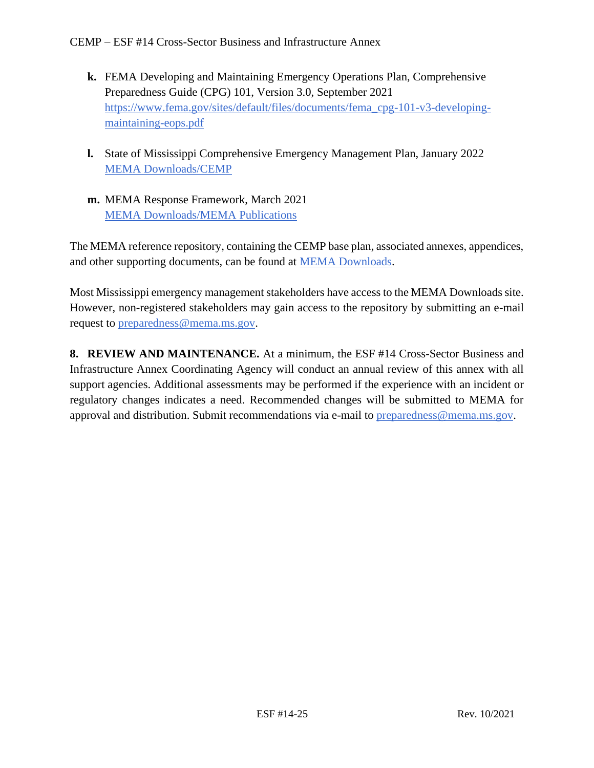- **k.** FEMA Developing and Maintaining Emergency Operations Plan, Comprehensive Preparedness Guide (CPG) 101, Version 3.0, September 2021 [https://www.fema.gov/sites/default/files/documents/fema\\_cpg-101-v3-developing](https://www.fema.gov/sites/default/files/documents/fema_cpg-101-v3-developing-maintaining-eops.pdf)[maintaining-eops.pdf](https://www.fema.gov/sites/default/files/documents/fema_cpg-101-v3-developing-maintaining-eops.pdf)
- **l.** State of Mississippi Comprehensive Emergency Management Plan, January 2022 [MEMA Downloads/CEMP](https://msmema.sharepoint.com/Shared%20Documents/Forms/AllItems.aspx?id=%2FShared%20Documents%2FMEMA%20Downloads%2FComprehensive%20Emergency%20Management%20Plan%20%2D%202022&viewid=8f98db8b%2D85b5%2D471a%2Db3cc%2D6cc4ee9e7407)
- **m.** MEMA Response Framework, March 2021 [MEMA Downloads/MEMA Publications](https://msmema.sharepoint.com/Shared%20Documents/Forms/AllItems.aspx?viewid=8f98db8b%2D85b5%2D471a%2Db3cc%2D6cc4ee9e7407&id=%2FShared%20Documents%2FMEMA%20Downloads%2FMEMA%20Publications)

The MEMA reference repository, containing the CEMP base plan, associated annexes, appendices, and other supporting documents, can be found at [MEMA Downloads.](https://msmema.sharepoint.com/:f:/g/EqOo4aFNl0dPjja3MdSpSSsBlSoSLEznRJvlUGHnID2Crw?e=G23aoB)

Most Mississippi emergency management stakeholders have access to the MEMA Downloads site. However, non-registered stakeholders may gain access to the repository by submitting an e-mail request to [preparedness@mema.ms.gov.](mailto:preparedness@mema.ms.gov)

**8. REVIEW AND MAINTENANCE.** At a minimum, the ESF #14 Cross-Sector Business and Infrastructure Annex Coordinating Agency will conduct an annual review of this annex with all support agencies. Additional assessments may be performed if the experience with an incident or regulatory changes indicates a need. Recommended changes will be submitted to MEMA for approval and distribution. Submit recommendations via e-mail to [preparedness@mema.ms.gov.](mailto:preparedness@mema.ms.gov)